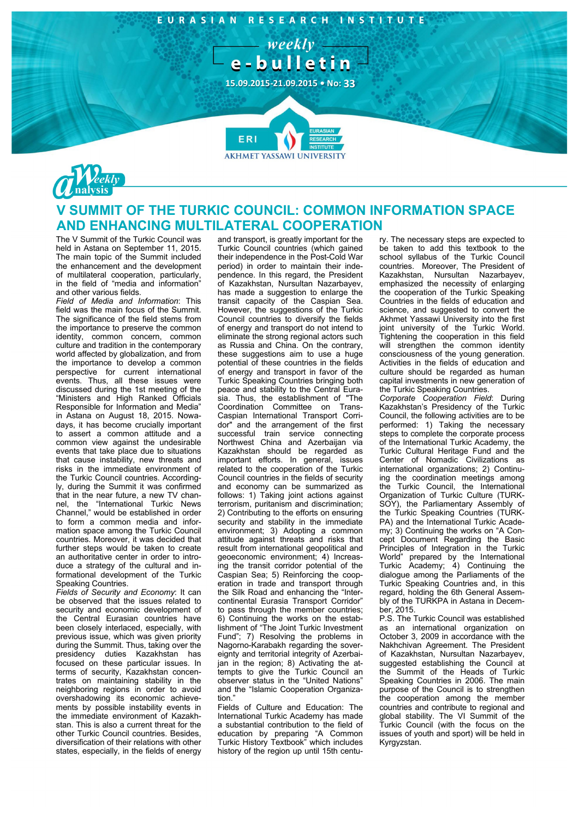EURASIAN RESEARCH INSTITUTE

 $-$  weekly  $$ e-bulletin

**15.09.2015-21.09.2015 • No: 33**

**FR** 



## **V SUMMIT OF THE TURKIC COUNCIL: COMMON INFORMATION SPACE AND ENHANCING MULTILATERAL COOPERATION**

**AKHMET YASSAWI UNIVERSITY** 

The V Summit of the Turkic Council was held in Astana on September 11, 2015. The main topic of the Summit included the enhancement and the development of multilateral cooperation, particularly, in the field of "media and information" and other various fields.

*Field of Media and Information*: This field was the main focus of the Summit. The significance of the field stems from the importance to preserve the common identity, common concern, common culture and tradition in the contemporary world affected by globalization, and from the importance to develop a common perspective for current international events. Thus, all these issues were discussed during the 1st meeting of the "Ministers and High Ranked Officials Responsible for Information and Media" in Astana on August 18, 2015. Nowadays, it has become crucially important to assert a common attitude and a common view against the undesirable events that take place due to situations that cause instability, new threats and risks in the immediate environment of the Turkic Council countries. Accordingly, during the Summit it was confirmed that in the near future, a new TV channel, the "International Turkic News Channel," would be established in order to form a common media and information space among the Turkic Council countries. Moreover, it was decided that further steps would be taken to create an authoritative center in order to introduce a strategy of the cultural and informational development of the Turkic Speaking Countries.

*Fields of Security and Economy*: It can be observed that the issues related to security and economic development of the Central Eurasian countries have been closely interlaced, especially, with previous issue, which was given priority during the Summit. Thus, taking over the presidency duties Kazakhstan has focused on these particular issues. In terms of security, Kazakhstan concentrates on maintaining stability in the neighboring regions in order to avoid overshadowing its economic achievements by possible instability events in the immediate environment of Kazakhstan. This is also a current threat for the other Turkic Council countries. Besides, diversification of their relations with other states, especially, in the fields of energy

and transport, is greatly important for the Turkic Council countries (which gained their independence in the Post-Cold War period) in order to maintain their independence. In this regard, the President of Kazakhstan, Nursultan Nazarbayev, has made a suggestion to enlarge the transit capacity of the Caspian Sea. However, the suggestions of the Turkic Council countries to diversify the fields of energy and transport do not intend to eliminate the strong regional actors such as Russia and China. On the contrary, these suggestions aim to use a huge potential of these countries in the fields of energy and transport in favor of the Turkic Speaking Countries bringing both peace and stability to the Central Eurasia. Thus, the establishment of "The Coordination Committee on Trans-Caspian International Transport Corridor" and the arrangement of the first successful train service connecting Northwest China and Azerbaijan via Kazakhstan should be regarded as important efforts. In general, issues related to the cooperation of the Turkic Council countries in the fields of security and economy can be summarized as follows: 1) Taking joint actions against terrorism, puritanism and discrimination; 2) Contributing to the efforts on ensuring security and stability in the immediate environment; 3) Adopting a common attitude against threats and risks that result from international geopolitical and geoeconomic environment; 4) Increasing the transit corridor potential of the Caspian Sea; 5) Reinforcing the cooperation in trade and transport through the Silk Road and enhancing the "Intercontinental Eurasia Transport Corridor" to pass through the member countries; 6) Continuing the works on the establishment of "The Joint Turkic Investment Fund"; 7) Resolving the problems in Nagorno-Karabakh regarding the sovereignty and territorial integrity of Azerbaijan in the region; 8) Activating the attempts to give the Turkic Council an observer status in the "United Nations" and the "Islamic Cooperation Organization."

Fields of Culture and Education: The International Turkic Academy has made a substantial contribution to the field of education by preparing "A Common Turkic History Textbook" which includes history of the region up until 15th centu-

ry. The necessary steps are expected to be taken to add this textbook to the school syllabus of the Turkic Council countries. Moreover, The President of Kazakhstan, Nursultan Nazarbayev, emphasized the necessity of enlarging the cooperation of the Turkic Speaking Countries in the fields of education and science, and suggested to convert the Akhmet Yassawi University into the first joint university of the Turkic World. Tightening the cooperation in this field will strengthen the common identity consciousness of the young generation. Activities in the fields of education and culture should be regarded as human capital investments in new generation of the Turkic Speaking Countries.

*Corporate Cooperation Field*: During Kazakhstan's Presidency of the Turkic Council, the following activities are to be performed: 1) Taking the necessary steps to complete the corporate process of the International Turkic Academy, the Turkic Cultural Heritage Fund and the Center of Nomadic Civilizations as international organizations; 2) Continuing the coordination meetings among the Turkic Council, the International Organization of Turkic Culture (TURK-SOY), the Parliamentary Assembly of the Turkic Speaking Countries (TURK-PA) and the International Turkic Academy; 3) Continuing the works on "A Concept Document Regarding the Basic Principles of Integration in the Turkic World" prepared by the International Turkic Academy; 4) Continuing the dialogue among the Parliaments of the Turkic Speaking Countries and, in this regard, holding the 6th General Assembly of the TURKPA in Astana in December, 2015.

P.S. The Turkic Council was established as an international organization on October 3, 2009 in accordance with the Nakhchivan Agreement. The President of Kazakhstan, Nursultan Nazarbayev, suggested establishing the Council at the Summit of the Heads of Turkic Speaking Countries in 2006. The main purpose of the Council is to strengthen the cooperation among the member countries and contribute to regional and global stability. The VI Summit of the Turkic Council (with the focus on the issues of youth and sport) will be held in Kyrgyzstan.